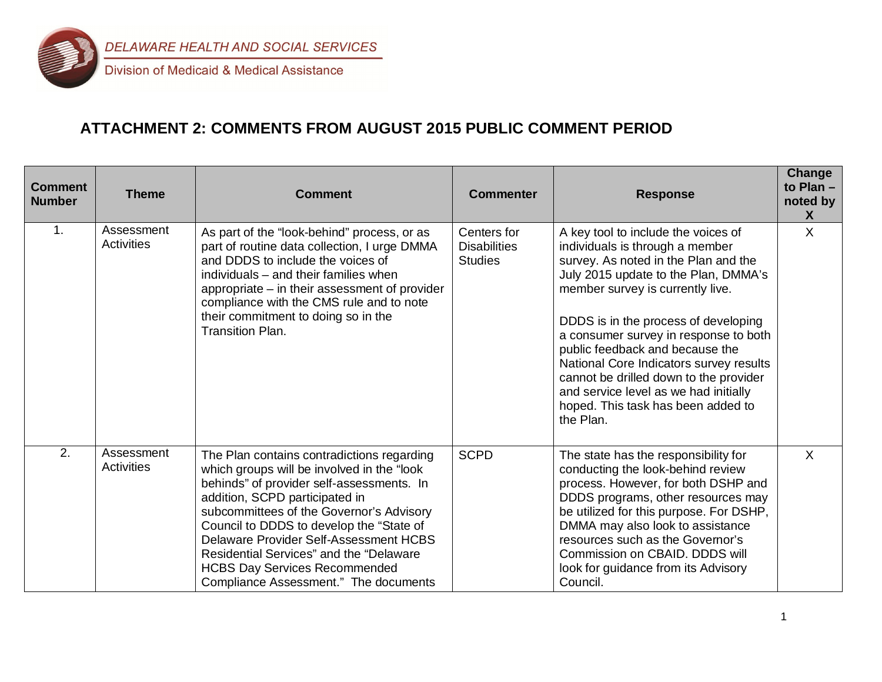

### **ATTACHMENT 2: COMMENTS FROM AUGUST 2015 PUBLIC COMMENT PERIOD**

| <b>Comment</b><br><b>Number</b> | <b>Theme</b>                    | <b>Comment</b>                                                                                                                                                                                                                                                                                                                                                                                                                        | <b>Commenter</b>                                     | <b>Response</b>                                                                                                                                                                                                                                                                                                                                                                                                                                                                                 | Change<br>to Plan $-$<br>noted by<br>X |
|---------------------------------|---------------------------------|---------------------------------------------------------------------------------------------------------------------------------------------------------------------------------------------------------------------------------------------------------------------------------------------------------------------------------------------------------------------------------------------------------------------------------------|------------------------------------------------------|-------------------------------------------------------------------------------------------------------------------------------------------------------------------------------------------------------------------------------------------------------------------------------------------------------------------------------------------------------------------------------------------------------------------------------------------------------------------------------------------------|----------------------------------------|
| $\mathbf{1}$ .                  | Assessment<br><b>Activities</b> | As part of the "look-behind" process, or as<br>part of routine data collection, I urge DMMA<br>and DDDS to include the voices of<br>individuals – and their families when<br>appropriate – in their assessment of provider<br>compliance with the CMS rule and to note<br>their commitment to doing so in the<br><b>Transition Plan.</b>                                                                                              | Centers for<br><b>Disabilities</b><br><b>Studies</b> | A key tool to include the voices of<br>individuals is through a member<br>survey. As noted in the Plan and the<br>July 2015 update to the Plan, DMMA's<br>member survey is currently live.<br>DDDS is in the process of developing<br>a consumer survey in response to both<br>public feedback and because the<br>National Core Indicators survey results<br>cannot be drilled down to the provider<br>and service level as we had initially<br>hoped. This task has been added to<br>the Plan. | $\sf X$                                |
| 2.                              | Assessment<br><b>Activities</b> | The Plan contains contradictions regarding<br>which groups will be involved in the "look<br>behinds" of provider self-assessments. In<br>addition, SCPD participated in<br>subcommittees of the Governor's Advisory<br>Council to DDDS to develop the "State of<br>Delaware Provider Self-Assessment HCBS<br>Residential Services" and the "Delaware<br><b>HCBS Day Services Recommended</b><br>Compliance Assessment." The documents | <b>SCPD</b>                                          | The state has the responsibility for<br>conducting the look-behind review<br>process. However, for both DSHP and<br>DDDS programs, other resources may<br>be utilized for this purpose. For DSHP,<br>DMMA may also look to assistance<br>resources such as the Governor's<br>Commission on CBAID. DDDS will<br>look for guidance from its Advisory<br>Council.                                                                                                                                  | X                                      |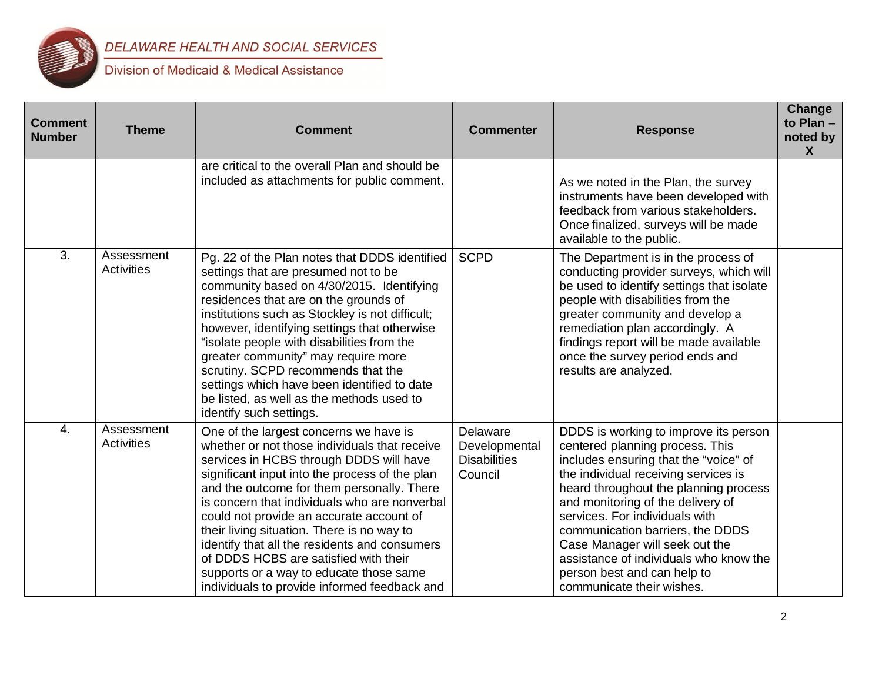

| <b>Comment</b><br><b>Number</b> | <b>Theme</b>             | <b>Comment</b>                                                                                                                                                                                                                                                                                                                                                                                                                                                                                                                                                     | <b>Commenter</b>                                            | <b>Response</b>                                                                                                                                                                                                                                                                                                                                                                                                                                       | <b>Change</b><br>to Plan -<br>noted by<br>$\mathsf{X}$ |
|---------------------------------|--------------------------|--------------------------------------------------------------------------------------------------------------------------------------------------------------------------------------------------------------------------------------------------------------------------------------------------------------------------------------------------------------------------------------------------------------------------------------------------------------------------------------------------------------------------------------------------------------------|-------------------------------------------------------------|-------------------------------------------------------------------------------------------------------------------------------------------------------------------------------------------------------------------------------------------------------------------------------------------------------------------------------------------------------------------------------------------------------------------------------------------------------|--------------------------------------------------------|
|                                 |                          | are critical to the overall Plan and should be<br>included as attachments for public comment.                                                                                                                                                                                                                                                                                                                                                                                                                                                                      |                                                             | As we noted in the Plan, the survey<br>instruments have been developed with<br>feedback from various stakeholders.<br>Once finalized, surveys will be made<br>available to the public.                                                                                                                                                                                                                                                                |                                                        |
| 3.                              | Assessment<br>Activities | Pg. 22 of the Plan notes that DDDS identified<br>settings that are presumed not to be<br>community based on 4/30/2015. Identifying<br>residences that are on the grounds of<br>institutions such as Stockley is not difficult;<br>however, identifying settings that otherwise<br>"isolate people with disabilities from the<br>greater community" may require more<br>scrutiny. SCPD recommends that the<br>settings which have been identified to date<br>be listed, as well as the methods used to<br>identify such settings.                                   | <b>SCPD</b>                                                 | The Department is in the process of<br>conducting provider surveys, which will<br>be used to identify settings that isolate<br>people with disabilities from the<br>greater community and develop a<br>remediation plan accordingly. A<br>findings report will be made available<br>once the survey period ends and<br>results are analyzed.                                                                                                          |                                                        |
| $\overline{4}$ .                | Assessment<br>Activities | One of the largest concerns we have is<br>whether or not those individuals that receive<br>services in HCBS through DDDS will have<br>significant input into the process of the plan<br>and the outcome for them personally. There<br>is concern that individuals who are nonverbal<br>could not provide an accurate account of<br>their living situation. There is no way to<br>identify that all the residents and consumers<br>of DDDS HCBS are satisfied with their<br>supports or a way to educate those same<br>individuals to provide informed feedback and | Delaware<br>Developmental<br><b>Disabilities</b><br>Council | DDDS is working to improve its person<br>centered planning process. This<br>includes ensuring that the "voice" of<br>the individual receiving services is<br>heard throughout the planning process<br>and monitoring of the delivery of<br>services. For individuals with<br>communication barriers, the DDDS<br>Case Manager will seek out the<br>assistance of individuals who know the<br>person best and can help to<br>communicate their wishes. |                                                        |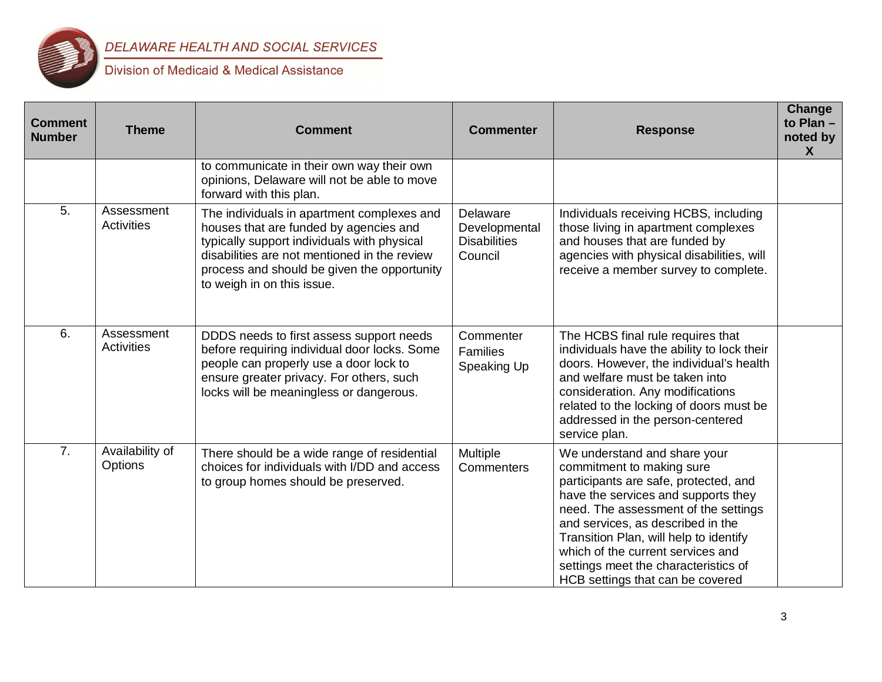

| <b>Comment</b><br><b>Number</b> | <b>Theme</b>                    | <b>Comment</b>                                                                                                                                                                                                                                                   | <b>Commenter</b>                                            | <b>Response</b>                                                                                                                                                                                                                                                                                                                                                                   | Change<br>to Plan -<br>noted by<br>X |
|---------------------------------|---------------------------------|------------------------------------------------------------------------------------------------------------------------------------------------------------------------------------------------------------------------------------------------------------------|-------------------------------------------------------------|-----------------------------------------------------------------------------------------------------------------------------------------------------------------------------------------------------------------------------------------------------------------------------------------------------------------------------------------------------------------------------------|--------------------------------------|
|                                 |                                 | to communicate in their own way their own<br>opinions, Delaware will not be able to move<br>forward with this plan.                                                                                                                                              |                                                             |                                                                                                                                                                                                                                                                                                                                                                                   |                                      |
| 5.                              | Assessment<br><b>Activities</b> | The individuals in apartment complexes and<br>houses that are funded by agencies and<br>typically support individuals with physical<br>disabilities are not mentioned in the review<br>process and should be given the opportunity<br>to weigh in on this issue. | Delaware<br>Developmental<br><b>Disabilities</b><br>Council | Individuals receiving HCBS, including<br>those living in apartment complexes<br>and houses that are funded by<br>agencies with physical disabilities, will<br>receive a member survey to complete.                                                                                                                                                                                |                                      |
| 6.                              | Assessment<br>Activities        | DDDS needs to first assess support needs<br>before requiring individual door locks. Some<br>people can properly use a door lock to<br>ensure greater privacy. For others, such<br>locks will be meaningless or dangerous.                                        | Commenter<br>Families<br>Speaking Up                        | The HCBS final rule requires that<br>individuals have the ability to lock their<br>doors. However, the individual's health<br>and welfare must be taken into<br>consideration. Any modifications<br>related to the locking of doors must be<br>addressed in the person-centered<br>service plan.                                                                                  |                                      |
| 7.                              | Availability of<br>Options      | There should be a wide range of residential<br>choices for individuals with I/DD and access<br>to group homes should be preserved.                                                                                                                               | Multiple<br><b>Commenters</b>                               | We understand and share your<br>commitment to making sure<br>participants are safe, protected, and<br>have the services and supports they<br>need. The assessment of the settings<br>and services, as described in the<br>Transition Plan, will help to identify<br>which of the current services and<br>settings meet the characteristics of<br>HCB settings that can be covered |                                      |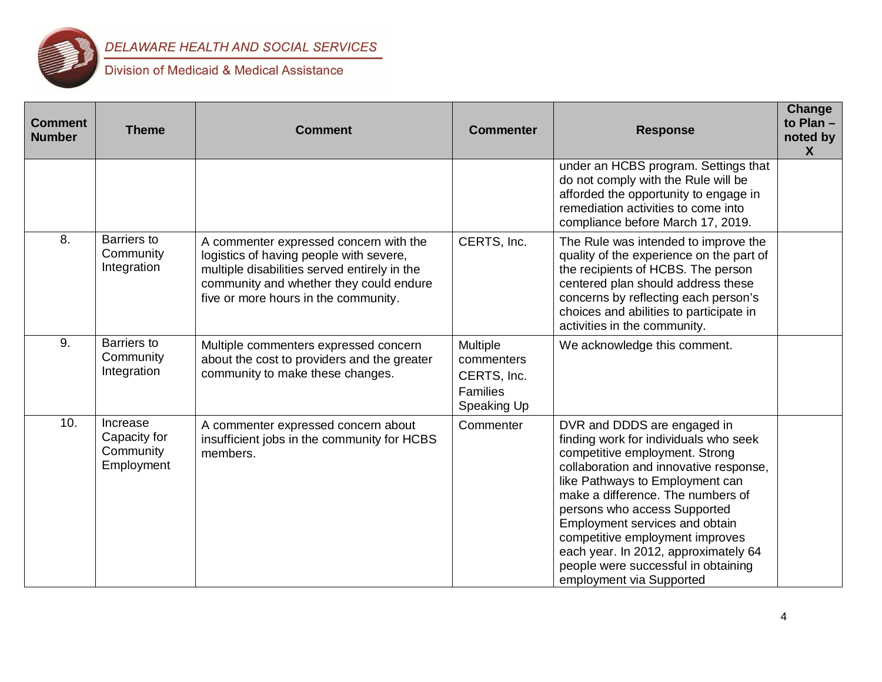

| <b>Comment</b><br><b>Number</b> | <b>Theme</b>                                        | <b>Comment</b>                                                                                                                                                                                                       | <b>Commenter</b>                                                        | <b>Response</b>                                                                                                                                                                                                                                                                                                                                                                                                                          | <b>Change</b><br>to Plan -<br>noted by<br>X |
|---------------------------------|-----------------------------------------------------|----------------------------------------------------------------------------------------------------------------------------------------------------------------------------------------------------------------------|-------------------------------------------------------------------------|------------------------------------------------------------------------------------------------------------------------------------------------------------------------------------------------------------------------------------------------------------------------------------------------------------------------------------------------------------------------------------------------------------------------------------------|---------------------------------------------|
|                                 |                                                     |                                                                                                                                                                                                                      |                                                                         | under an HCBS program. Settings that<br>do not comply with the Rule will be<br>afforded the opportunity to engage in<br>remediation activities to come into<br>compliance before March 17, 2019.                                                                                                                                                                                                                                         |                                             |
| 8.                              | Barriers to<br>Community<br>Integration             | A commenter expressed concern with the<br>logistics of having people with severe,<br>multiple disabilities served entirely in the<br>community and whether they could endure<br>five or more hours in the community. | CERTS, Inc.                                                             | The Rule was intended to improve the<br>quality of the experience on the part of<br>the recipients of HCBS. The person<br>centered plan should address these<br>concerns by reflecting each person's<br>choices and abilities to participate in<br>activities in the community.                                                                                                                                                          |                                             |
| 9.                              | <b>Barriers to</b><br>Community<br>Integration      | Multiple commenters expressed concern<br>about the cost to providers and the greater<br>community to make these changes.                                                                                             | Multiple<br>commenters<br>CERTS, Inc.<br><b>Families</b><br>Speaking Up | We acknowledge this comment.                                                                                                                                                                                                                                                                                                                                                                                                             |                                             |
| 10.                             | Increase<br>Capacity for<br>Community<br>Employment | A commenter expressed concern about<br>insufficient jobs in the community for HCBS<br>members.                                                                                                                       | Commenter                                                               | DVR and DDDS are engaged in<br>finding work for individuals who seek<br>competitive employment. Strong<br>collaboration and innovative response,<br>like Pathways to Employment can<br>make a difference. The numbers of<br>persons who access Supported<br>Employment services and obtain<br>competitive employment improves<br>each year. In 2012, approximately 64<br>people were successful in obtaining<br>employment via Supported |                                             |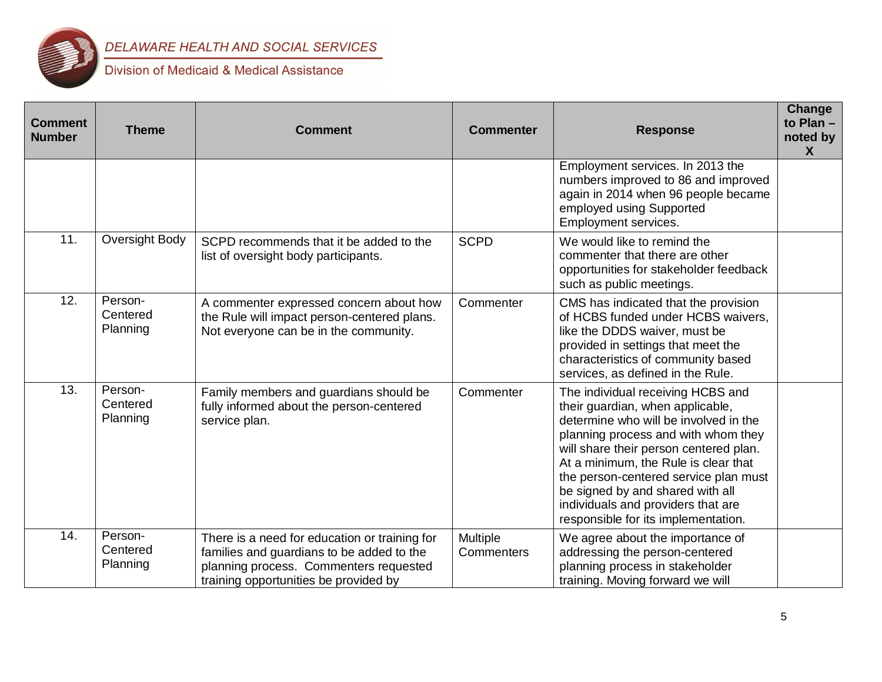

| <b>Comment</b><br><b>Number</b> | <b>Theme</b>                    | <b>Comment</b>                                                                                                                                                                | <b>Commenter</b>              | <b>Response</b>                                                                                                                                                                                                                                                                                                                                                                                   | <b>Change</b><br>to Plan-<br>noted by<br>$\mathbf x$ |
|---------------------------------|---------------------------------|-------------------------------------------------------------------------------------------------------------------------------------------------------------------------------|-------------------------------|---------------------------------------------------------------------------------------------------------------------------------------------------------------------------------------------------------------------------------------------------------------------------------------------------------------------------------------------------------------------------------------------------|------------------------------------------------------|
|                                 |                                 |                                                                                                                                                                               |                               | Employment services. In 2013 the<br>numbers improved to 86 and improved<br>again in 2014 when 96 people became<br>employed using Supported<br>Employment services.                                                                                                                                                                                                                                |                                                      |
| 11.                             | Oversight Body                  | SCPD recommends that it be added to the<br>list of oversight body participants.                                                                                               | <b>SCPD</b>                   | We would like to remind the<br>commenter that there are other<br>opportunities for stakeholder feedback<br>such as public meetings.                                                                                                                                                                                                                                                               |                                                      |
| 12.                             | Person-<br>Centered<br>Planning | A commenter expressed concern about how<br>the Rule will impact person-centered plans.<br>Not everyone can be in the community.                                               | Commenter                     | CMS has indicated that the provision<br>of HCBS funded under HCBS waivers,<br>like the DDDS waiver, must be<br>provided in settings that meet the<br>characteristics of community based<br>services, as defined in the Rule.                                                                                                                                                                      |                                                      |
| 13.                             | Person-<br>Centered<br>Planning | Family members and guardians should be<br>fully informed about the person-centered<br>service plan.                                                                           | Commenter                     | The individual receiving HCBS and<br>their guardian, when applicable,<br>determine who will be involved in the<br>planning process and with whom they<br>will share their person centered plan.<br>At a minimum, the Rule is clear that<br>the person-centered service plan must<br>be signed by and shared with all<br>individuals and providers that are<br>responsible for its implementation. |                                                      |
| $\overline{14}$ .               | Person-<br>Centered<br>Planning | There is a need for education or training for<br>families and guardians to be added to the<br>planning process. Commenters requested<br>training opportunities be provided by | Multiple<br><b>Commenters</b> | We agree about the importance of<br>addressing the person-centered<br>planning process in stakeholder<br>training. Moving forward we will                                                                                                                                                                                                                                                         |                                                      |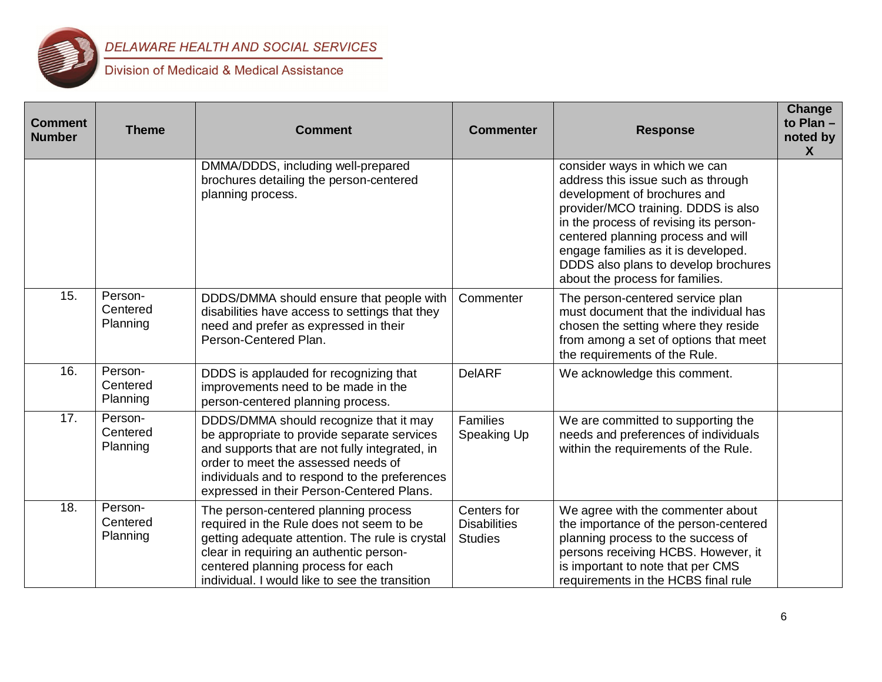

| <b>Comment</b><br><b>Number</b> | <b>Theme</b>                    | <b>Comment</b>                                                                                                                                                                                                                                                               | <b>Commenter</b>                                     | <b>Response</b>                                                                                                                                                                                                                                                                                                                              | <b>Change</b><br>to Plan -<br>noted by<br>X |
|---------------------------------|---------------------------------|------------------------------------------------------------------------------------------------------------------------------------------------------------------------------------------------------------------------------------------------------------------------------|------------------------------------------------------|----------------------------------------------------------------------------------------------------------------------------------------------------------------------------------------------------------------------------------------------------------------------------------------------------------------------------------------------|---------------------------------------------|
|                                 |                                 | DMMA/DDDS, including well-prepared<br>brochures detailing the person-centered<br>planning process.                                                                                                                                                                           |                                                      | consider ways in which we can<br>address this issue such as through<br>development of brochures and<br>provider/MCO training. DDDS is also<br>in the process of revising its person-<br>centered planning process and will<br>engage families as it is developed.<br>DDDS also plans to develop brochures<br>about the process for families. |                                             |
| 15.                             | Person-<br>Centered<br>Planning | DDDS/DMMA should ensure that people with<br>disabilities have access to settings that they<br>need and prefer as expressed in their<br>Person-Centered Plan.                                                                                                                 | Commenter                                            | The person-centered service plan<br>must document that the individual has<br>chosen the setting where they reside<br>from among a set of options that meet<br>the requirements of the Rule.                                                                                                                                                  |                                             |
| 16.                             | Person-<br>Centered<br>Planning | DDDS is applauded for recognizing that<br>improvements need to be made in the<br>person-centered planning process.                                                                                                                                                           | <b>DeIARF</b>                                        | We acknowledge this comment.                                                                                                                                                                                                                                                                                                                 |                                             |
| 17.                             | Person-<br>Centered<br>Planning | DDDS/DMMA should recognize that it may<br>be appropriate to provide separate services<br>and supports that are not fully integrated, in<br>order to meet the assessed needs of<br>individuals and to respond to the preferences<br>expressed in their Person-Centered Plans. | Families<br>Speaking Up                              | We are committed to supporting the<br>needs and preferences of individuals<br>within the requirements of the Rule.                                                                                                                                                                                                                           |                                             |
| 18.                             | Person-<br>Centered<br>Planning | The person-centered planning process<br>required in the Rule does not seem to be<br>getting adequate attention. The rule is crystal<br>clear in requiring an authentic person-<br>centered planning process for each<br>individual. I would like to see the transition       | Centers for<br><b>Disabilities</b><br><b>Studies</b> | We agree with the commenter about<br>the importance of the person-centered<br>planning process to the success of<br>persons receiving HCBS. However, it<br>is important to note that per CMS<br>requirements in the HCBS final rule                                                                                                          |                                             |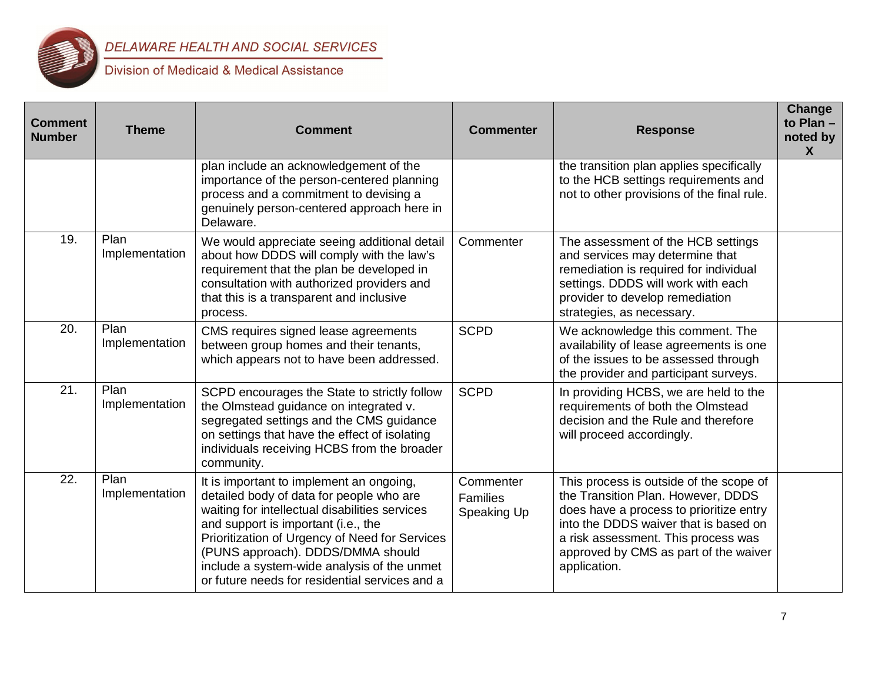

| <b>Comment</b><br><b>Number</b> | <b>Theme</b>           | <b>Comment</b>                                                                                                                                                                                                                                                                                                                                                        | <b>Commenter</b>                            | <b>Response</b>                                                                                                                                                                                                                                                   | <b>Change</b><br>to Plan $-$<br>noted by<br>$\mathsf{X}$ |
|---------------------------------|------------------------|-----------------------------------------------------------------------------------------------------------------------------------------------------------------------------------------------------------------------------------------------------------------------------------------------------------------------------------------------------------------------|---------------------------------------------|-------------------------------------------------------------------------------------------------------------------------------------------------------------------------------------------------------------------------------------------------------------------|----------------------------------------------------------|
|                                 |                        | plan include an acknowledgement of the<br>importance of the person-centered planning<br>process and a commitment to devising a<br>genuinely person-centered approach here in<br>Delaware.                                                                                                                                                                             |                                             | the transition plan applies specifically<br>to the HCB settings requirements and<br>not to other provisions of the final rule.                                                                                                                                    |                                                          |
| 19.                             | Plan<br>Implementation | We would appreciate seeing additional detail<br>about how DDDS will comply with the law's<br>requirement that the plan be developed in<br>consultation with authorized providers and<br>that this is a transparent and inclusive<br>process.                                                                                                                          | Commenter                                   | The assessment of the HCB settings<br>and services may determine that<br>remediation is required for individual<br>settings. DDDS will work with each<br>provider to develop remediation<br>strategies, as necessary.                                             |                                                          |
| 20.                             | Plan<br>Implementation | CMS requires signed lease agreements<br>between group homes and their tenants,<br>which appears not to have been addressed.                                                                                                                                                                                                                                           | <b>SCPD</b>                                 | We acknowledge this comment. The<br>availability of lease agreements is one<br>of the issues to be assessed through<br>the provider and participant surveys.                                                                                                      |                                                          |
| 21.                             | Plan<br>Implementation | SCPD encourages the State to strictly follow<br>the Olmstead guidance on integrated v.<br>segregated settings and the CMS guidance<br>on settings that have the effect of isolating<br>individuals receiving HCBS from the broader<br>community.                                                                                                                      | <b>SCPD</b>                                 | In providing HCBS, we are held to the<br>requirements of both the Olmstead<br>decision and the Rule and therefore<br>will proceed accordingly.                                                                                                                    |                                                          |
| 22.                             | Plan<br>Implementation | It is important to implement an ongoing,<br>detailed body of data for people who are<br>waiting for intellectual disabilities services<br>and support is important (i.e., the<br>Prioritization of Urgency of Need for Services<br>(PUNS approach). DDDS/DMMA should<br>include a system-wide analysis of the unmet<br>or future needs for residential services and a | Commenter<br><b>Families</b><br>Speaking Up | This process is outside of the scope of<br>the Transition Plan. However, DDDS<br>does have a process to prioritize entry<br>into the DDDS waiver that is based on<br>a risk assessment. This process was<br>approved by CMS as part of the waiver<br>application. |                                                          |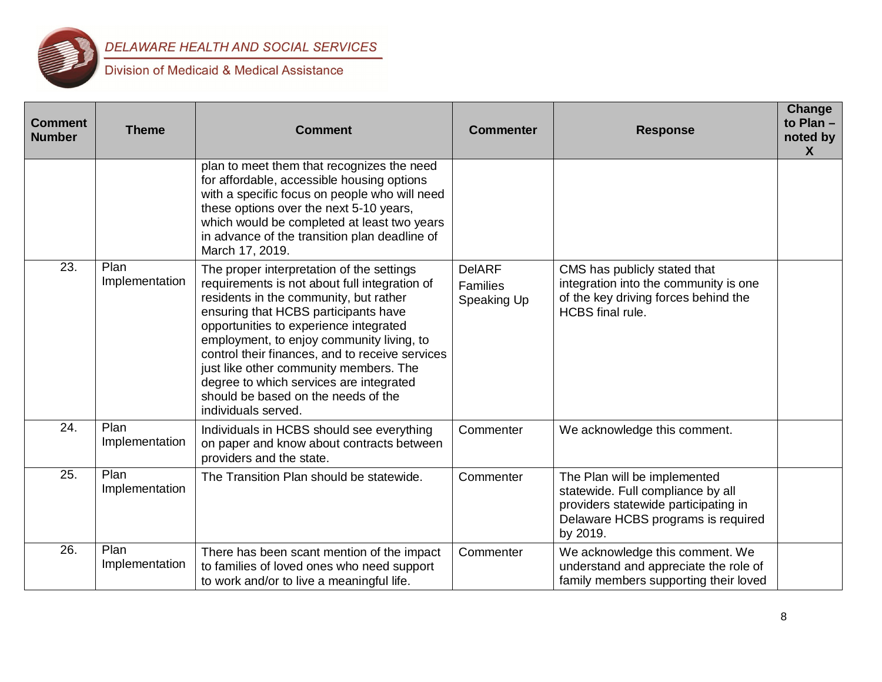

| <b>Comment</b><br><b>Number</b> | <b>Theme</b>           | <b>Comment</b>                                                                                                                                                                                                                                                                                                                                                                                                                                                            | <b>Commenter</b>                         | <b>Response</b>                                                                                                                                             | Change<br>to Plan $-$<br>noted by<br><b>X</b> |
|---------------------------------|------------------------|---------------------------------------------------------------------------------------------------------------------------------------------------------------------------------------------------------------------------------------------------------------------------------------------------------------------------------------------------------------------------------------------------------------------------------------------------------------------------|------------------------------------------|-------------------------------------------------------------------------------------------------------------------------------------------------------------|-----------------------------------------------|
|                                 |                        | plan to meet them that recognizes the need<br>for affordable, accessible housing options<br>with a specific focus on people who will need<br>these options over the next 5-10 years,<br>which would be completed at least two years<br>in advance of the transition plan deadline of<br>March 17, 2019.                                                                                                                                                                   |                                          |                                                                                                                                                             |                                               |
| 23.                             | Plan<br>Implementation | The proper interpretation of the settings<br>requirements is not about full integration of<br>residents in the community, but rather<br>ensuring that HCBS participants have<br>opportunities to experience integrated<br>employment, to enjoy community living, to<br>control their finances, and to receive services<br>just like other community members. The<br>degree to which services are integrated<br>should be based on the needs of the<br>individuals served. | <b>DelARF</b><br>Families<br>Speaking Up | CMS has publicly stated that<br>integration into the community is one<br>of the key driving forces behind the<br><b>HCBS</b> final rule.                    |                                               |
| 24.                             | Plan<br>Implementation | Individuals in HCBS should see everything<br>on paper and know about contracts between<br>providers and the state.                                                                                                                                                                                                                                                                                                                                                        | Commenter                                | We acknowledge this comment.                                                                                                                                |                                               |
| 25.                             | Plan<br>Implementation | The Transition Plan should be statewide.                                                                                                                                                                                                                                                                                                                                                                                                                                  | Commenter                                | The Plan will be implemented<br>statewide. Full compliance by all<br>providers statewide participating in<br>Delaware HCBS programs is required<br>by 2019. |                                               |
| 26.                             | Plan<br>Implementation | There has been scant mention of the impact<br>to families of loved ones who need support<br>to work and/or to live a meaningful life.                                                                                                                                                                                                                                                                                                                                     | Commenter                                | We acknowledge this comment. We<br>understand and appreciate the role of<br>family members supporting their loved                                           |                                               |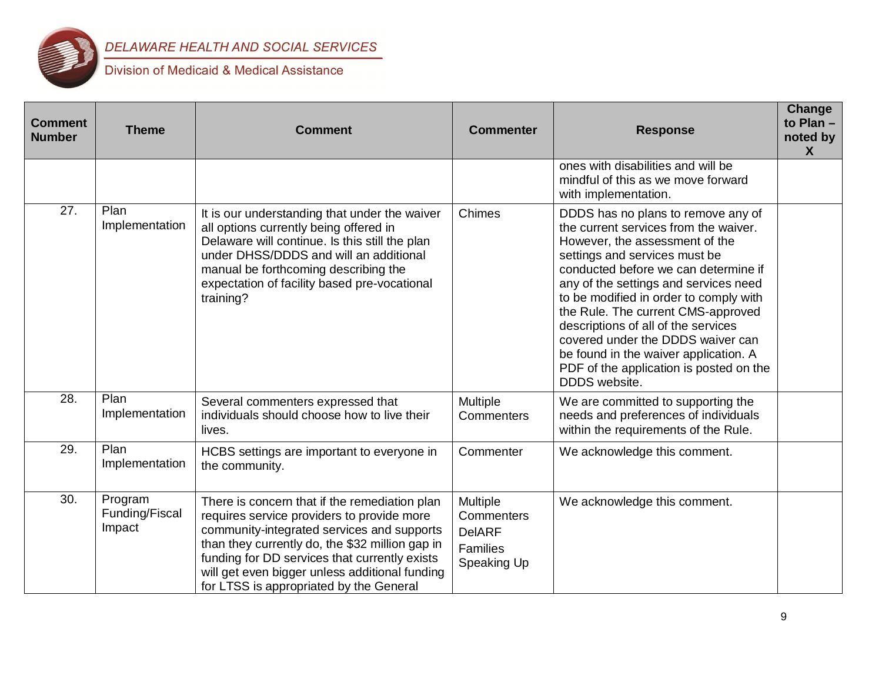

| <b>Comment</b><br><b>Number</b> | <b>Theme</b>                        | <b>Comment</b>                                                                                                                                                                                                                                                                                                                             | <b>Commenter</b>                                                   | <b>Response</b>                                                                                                                                                                                                                                                                                                                                                                                                                                                                                  | <b>Change</b><br>to Plan -<br>noted by<br>$\boldsymbol{X}$ |
|---------------------------------|-------------------------------------|--------------------------------------------------------------------------------------------------------------------------------------------------------------------------------------------------------------------------------------------------------------------------------------------------------------------------------------------|--------------------------------------------------------------------|--------------------------------------------------------------------------------------------------------------------------------------------------------------------------------------------------------------------------------------------------------------------------------------------------------------------------------------------------------------------------------------------------------------------------------------------------------------------------------------------------|------------------------------------------------------------|
|                                 |                                     |                                                                                                                                                                                                                                                                                                                                            |                                                                    | ones with disabilities and will be<br>mindful of this as we move forward<br>with implementation.                                                                                                                                                                                                                                                                                                                                                                                                 |                                                            |
| 27.                             | Plan<br>Implementation              | It is our understanding that under the waiver<br>all options currently being offered in<br>Delaware will continue. Is this still the plan<br>under DHSS/DDDS and will an additional<br>manual be forthcoming describing the<br>expectation of facility based pre-vocational<br>training?                                                   | Chimes                                                             | DDDS has no plans to remove any of<br>the current services from the waiver.<br>However, the assessment of the<br>settings and services must be<br>conducted before we can determine if<br>any of the settings and services need<br>to be modified in order to comply with<br>the Rule. The current CMS-approved<br>descriptions of all of the services<br>covered under the DDDS waiver can<br>be found in the waiver application. A<br>PDF of the application is posted on the<br>DDDS website. |                                                            |
| 28.                             | Plan<br>Implementation              | Several commenters expressed that<br>individuals should choose how to live their<br>lives.                                                                                                                                                                                                                                                 | Multiple<br>Commenters                                             | We are committed to supporting the<br>needs and preferences of individuals<br>within the requirements of the Rule.                                                                                                                                                                                                                                                                                                                                                                               |                                                            |
| 29.                             | Plan<br>Implementation              | HCBS settings are important to everyone in<br>the community.                                                                                                                                                                                                                                                                               | Commenter                                                          | We acknowledge this comment.                                                                                                                                                                                                                                                                                                                                                                                                                                                                     |                                                            |
| 30.                             | Program<br>Funding/Fiscal<br>Impact | There is concern that if the remediation plan<br>requires service providers to provide more<br>community-integrated services and supports<br>than they currently do, the \$32 million gap in<br>funding for DD services that currently exists<br>will get even bigger unless additional funding<br>for LTSS is appropriated by the General | Multiple<br>Commenters<br><b>DelARF</b><br>Families<br>Speaking Up | We acknowledge this comment.                                                                                                                                                                                                                                                                                                                                                                                                                                                                     |                                                            |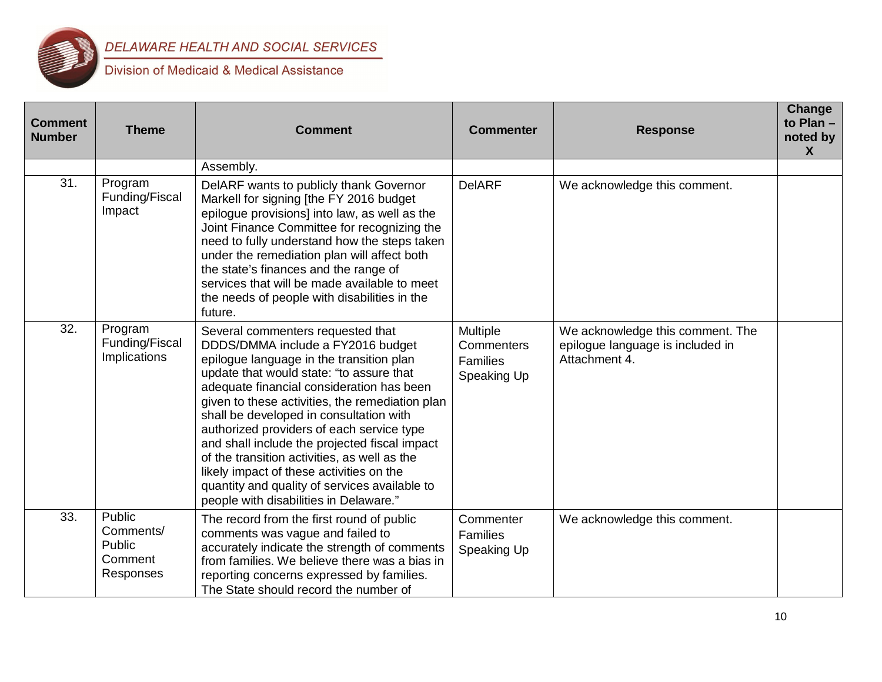

| <b>Comment</b><br><b>Number</b> | <b>Theme</b>                                          | <b>Comment</b>                                                                                                                                                                                                                                                                                                                                                                                                                                                                                                                                                                                 | <b>Commenter</b>                                         | <b>Response</b>                                                                       | Change<br>to Plan -<br>noted by<br>X |
|---------------------------------|-------------------------------------------------------|------------------------------------------------------------------------------------------------------------------------------------------------------------------------------------------------------------------------------------------------------------------------------------------------------------------------------------------------------------------------------------------------------------------------------------------------------------------------------------------------------------------------------------------------------------------------------------------------|----------------------------------------------------------|---------------------------------------------------------------------------------------|--------------------------------------|
|                                 |                                                       | Assembly.                                                                                                                                                                                                                                                                                                                                                                                                                                                                                                                                                                                      |                                                          |                                                                                       |                                      |
| 31.                             | Program<br>Funding/Fiscal<br>Impact                   | DeIARF wants to publicly thank Governor<br>Markell for signing [the FY 2016 budget<br>epilogue provisions] into law, as well as the<br>Joint Finance Committee for recognizing the<br>need to fully understand how the steps taken<br>under the remediation plan will affect both<br>the state's finances and the range of<br>services that will be made available to meet<br>the needs of people with disabilities in the<br>future.                                                                                                                                                          | <b>DelARF</b>                                            | We acknowledge this comment.                                                          |                                      |
| 32.                             | Program<br>Funding/Fiscal<br>Implications             | Several commenters requested that<br>DDDS/DMMA include a FY2016 budget<br>epilogue language in the transition plan<br>update that would state: "to assure that<br>adequate financial consideration has been<br>given to these activities, the remediation plan<br>shall be developed in consultation with<br>authorized providers of each service type<br>and shall include the projected fiscal impact<br>of the transition activities, as well as the<br>likely impact of these activities on the<br>quantity and quality of services available to<br>people with disabilities in Delaware." | <b>Multiple</b><br>Commenters<br>Families<br>Speaking Up | We acknowledge this comment. The<br>epilogue language is included in<br>Attachment 4. |                                      |
| 33.                             | Public<br>Comments/<br>Public<br>Comment<br>Responses | The record from the first round of public<br>comments was vague and failed to<br>accurately indicate the strength of comments<br>from families. We believe there was a bias in<br>reporting concerns expressed by families.<br>The State should record the number of                                                                                                                                                                                                                                                                                                                           | Commenter<br>Families<br>Speaking Up                     | We acknowledge this comment.                                                          |                                      |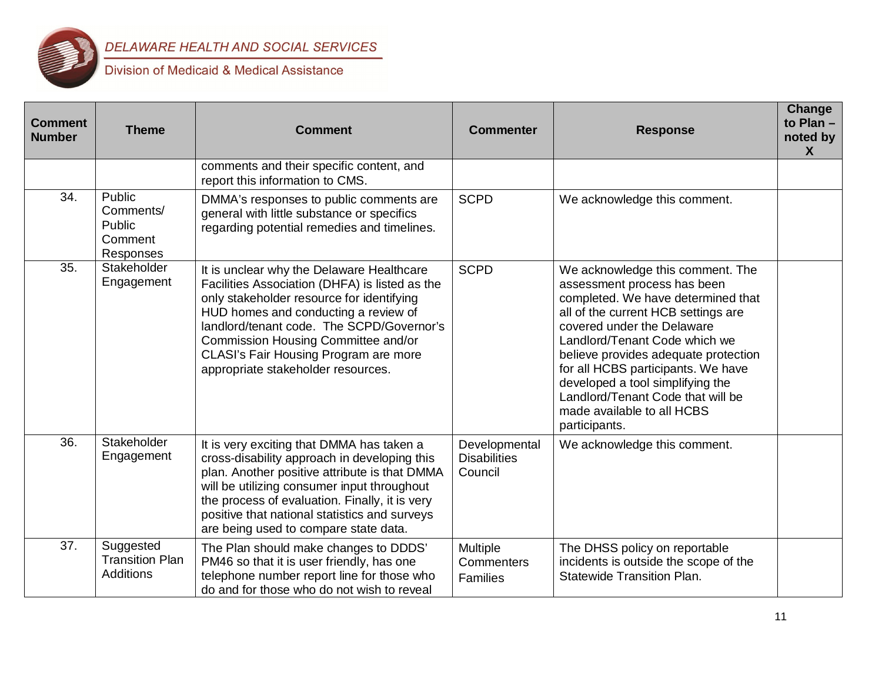

| <b>Comment</b><br><b>Number</b> | <b>Theme</b>                                            | <b>Comment</b>                                                                                                                                                                                                                                                                                                                                      | <b>Commenter</b>                                | <b>Response</b>                                                                                                                                                                                                                                                                                                                                                                                                   | <b>Change</b><br>to $Plan -$<br>noted by<br>X |
|---------------------------------|---------------------------------------------------------|-----------------------------------------------------------------------------------------------------------------------------------------------------------------------------------------------------------------------------------------------------------------------------------------------------------------------------------------------------|-------------------------------------------------|-------------------------------------------------------------------------------------------------------------------------------------------------------------------------------------------------------------------------------------------------------------------------------------------------------------------------------------------------------------------------------------------------------------------|-----------------------------------------------|
|                                 |                                                         | comments and their specific content, and<br>report this information to CMS.                                                                                                                                                                                                                                                                         |                                                 |                                                                                                                                                                                                                                                                                                                                                                                                                   |                                               |
| 34.                             | Public<br>Comments/<br>Public<br>Comment<br>Responses   | DMMA's responses to public comments are<br>general with little substance or specifics<br>regarding potential remedies and timelines.                                                                                                                                                                                                                | <b>SCPD</b>                                     | We acknowledge this comment.                                                                                                                                                                                                                                                                                                                                                                                      |                                               |
| 35.                             | Stakeholder<br>Engagement                               | It is unclear why the Delaware Healthcare<br>Facilities Association (DHFA) is listed as the<br>only stakeholder resource for identifying<br>HUD homes and conducting a review of<br>landlord/tenant code. The SCPD/Governor's<br>Commission Housing Committee and/or<br>CLASI's Fair Housing Program are more<br>appropriate stakeholder resources. | <b>SCPD</b>                                     | We acknowledge this comment. The<br>assessment process has been<br>completed. We have determined that<br>all of the current HCB settings are<br>covered under the Delaware<br>Landlord/Tenant Code which we<br>believe provides adequate protection<br>for all HCBS participants. We have<br>developed a tool simplifying the<br>Landlord/Tenant Code that will be<br>made available to all HCBS<br>participants. |                                               |
| 36.                             | Stakeholder<br>Engagement                               | It is very exciting that DMMA has taken a<br>cross-disability approach in developing this<br>plan. Another positive attribute is that DMMA<br>will be utilizing consumer input throughout<br>the process of evaluation. Finally, it is very<br>positive that national statistics and surveys<br>are being used to compare state data.               | Developmental<br><b>Disabilities</b><br>Council | We acknowledge this comment.                                                                                                                                                                                                                                                                                                                                                                                      |                                               |
| 37.                             | Suggested<br><b>Transition Plan</b><br><b>Additions</b> | The Plan should make changes to DDDS'<br>PM46 so that it is user friendly, has one<br>telephone number report line for those who<br>do and for those who do not wish to reveal                                                                                                                                                                      | <b>Multiple</b><br>Commenters<br>Families       | The DHSS policy on reportable<br>incidents is outside the scope of the<br><b>Statewide Transition Plan.</b>                                                                                                                                                                                                                                                                                                       |                                               |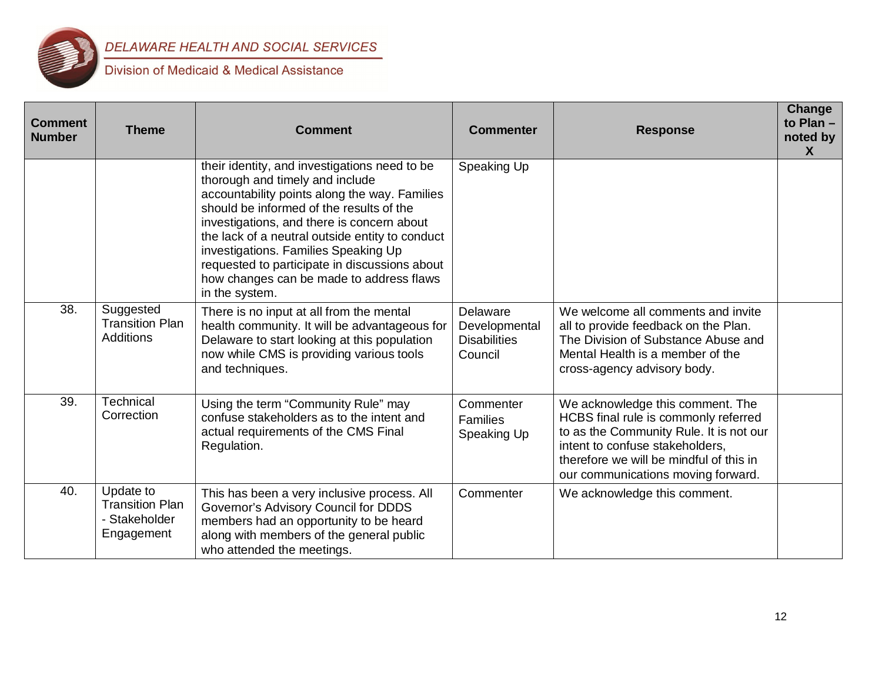

| <b>Comment</b><br><b>Number</b> | <b>Theme</b>                                                       | <b>Comment</b>                                                                                                                                                                                                                                                                                                                                                                                                                        | <b>Commenter</b>                                            | <b>Response</b>                                                                                                                                                                                                                         | <b>Change</b><br>to Plan $-$<br>noted by<br>X |
|---------------------------------|--------------------------------------------------------------------|---------------------------------------------------------------------------------------------------------------------------------------------------------------------------------------------------------------------------------------------------------------------------------------------------------------------------------------------------------------------------------------------------------------------------------------|-------------------------------------------------------------|-----------------------------------------------------------------------------------------------------------------------------------------------------------------------------------------------------------------------------------------|-----------------------------------------------|
|                                 |                                                                    | their identity, and investigations need to be<br>thorough and timely and include<br>accountability points along the way. Families<br>should be informed of the results of the<br>investigations, and there is concern about<br>the lack of a neutral outside entity to conduct<br>investigations. Families Speaking Up<br>requested to participate in discussions about<br>how changes can be made to address flaws<br>in the system. | Speaking Up                                                 |                                                                                                                                                                                                                                         |                                               |
| 38.                             | Suggested<br><b>Transition Plan</b><br><b>Additions</b>            | There is no input at all from the mental<br>health community. It will be advantageous for<br>Delaware to start looking at this population<br>now while CMS is providing various tools<br>and techniques.                                                                                                                                                                                                                              | Delaware<br>Developmental<br><b>Disabilities</b><br>Council | We welcome all comments and invite<br>all to provide feedback on the Plan.<br>The Division of Substance Abuse and<br>Mental Health is a member of the<br>cross-agency advisory body.                                                    |                                               |
| 39.                             | Technical<br>Correction                                            | Using the term "Community Rule" may<br>confuse stakeholders as to the intent and<br>actual requirements of the CMS Final<br>Regulation.                                                                                                                                                                                                                                                                                               | Commenter<br>Families<br>Speaking Up                        | We acknowledge this comment. The<br>HCBS final rule is commonly referred<br>to as the Community Rule. It is not our<br>intent to confuse stakeholders,<br>therefore we will be mindful of this in<br>our communications moving forward. |                                               |
| 40.                             | Update to<br><b>Transition Plan</b><br>- Stakeholder<br>Engagement | This has been a very inclusive process. All<br>Governor's Advisory Council for DDDS<br>members had an opportunity to be heard<br>along with members of the general public<br>who attended the meetings.                                                                                                                                                                                                                               | Commenter                                                   | We acknowledge this comment.                                                                                                                                                                                                            |                                               |